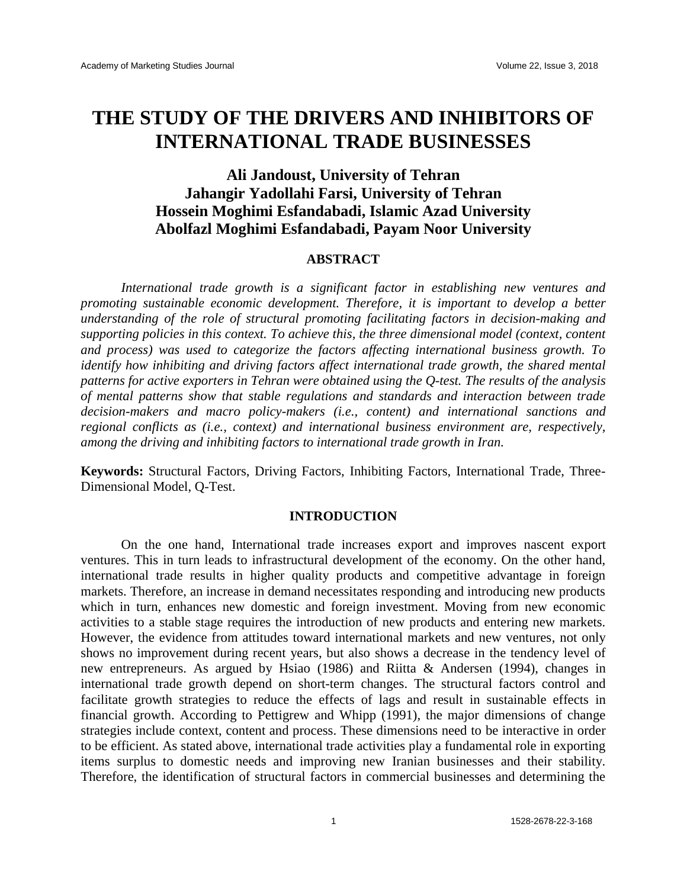# **THE STUDY OF THE DRIVERS AND INHIBITORS OF INTERNATIONAL TRADE BUSINESSES**

## **Ali Jandoust, University of Tehran Jahangir Yadollahi Farsi, University of Tehran Hossein Moghimi Esfandabadi, Islamic Azad University Abolfazl Moghimi Esfandabadi, Payam Noor University**

## **ABSTRACT**

*International trade growth is a significant factor in establishing new ventures and promoting sustainable economic development. Therefore, it is important to develop a better understanding of the role of structural promoting facilitating factors in decision-making and supporting policies in this context. To achieve this, the three dimensional model (context, content and process) was used to categorize the factors affecting international business growth. To identify how inhibiting and driving factors affect international trade growth, the shared mental patterns for active exporters in Tehran were obtained using the Q-test. The results of the analysis of mental patterns show that stable regulations and standards and interaction between trade decision-makers and macro policy-makers (i.e., content) and international sanctions and regional conflicts as (i.e., context) and international business environment are, respectively, among the driving and inhibiting factors to international trade growth in Iran.* 

**Keywords:** Structural Factors, Driving Factors, Inhibiting Factors, International Trade, Three-Dimensional Model, Q-Test.

#### **INTRODUCTION**

On the one hand, International trade increases export and improves nascent export ventures. This in turn leads to infrastructural development of the economy. On the other hand, international trade results in higher quality products and competitive advantage in foreign markets. Therefore, an increase in demand necessitates responding and introducing new products which in turn, enhances new domestic and foreign investment. Moving from new economic activities to a stable stage requires the introduction of new products and entering new markets. However, the evidence from attitudes toward international markets and new ventures, not only shows no improvement during recent years, but also shows a decrease in the tendency level of new entrepreneurs. As argued by Hsiao (1986) and Riitta & Andersen (1994), changes in international trade growth depend on short-term changes. The structural factors control and facilitate growth strategies to reduce the effects of lags and result in sustainable effects in financial growth. According to Pettigrew and Whipp (1991), the major dimensions of change strategies include context, content and process. These dimensions need to be interactive in order to be efficient. As stated above, international trade activities play a fundamental role in exporting items surplus to domestic needs and improving new Iranian businesses and their stability. Therefore, the identification of structural factors in commercial businesses and determining the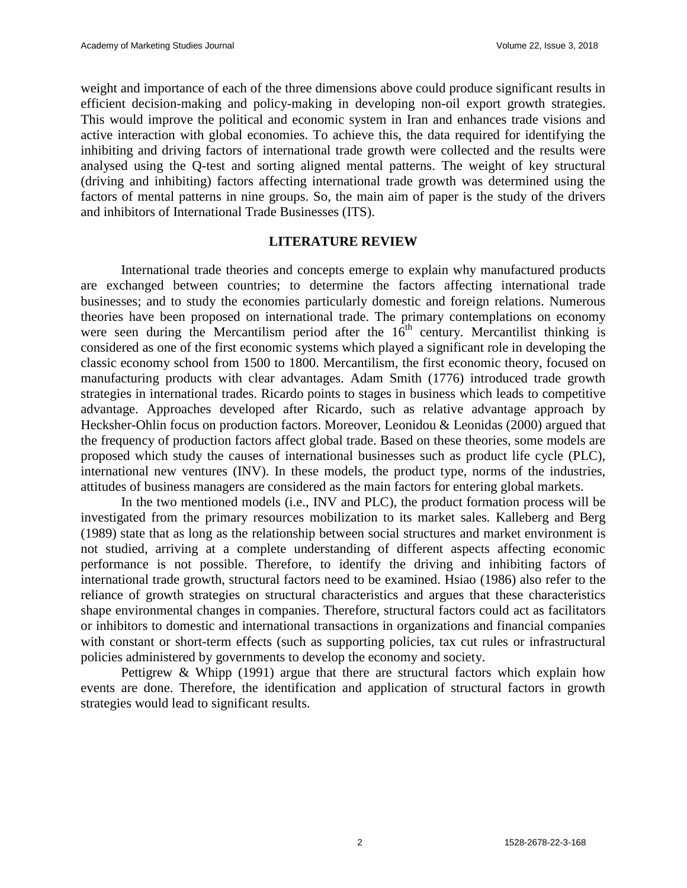weight and importance of each of the three dimensions above could produce significant results in efficient decision-making and policy-making in developing non-oil export growth strategies. This would improve the political and economic system in Iran and enhances trade visions and active interaction with global economies. To achieve this, the data required for identifying the inhibiting and driving factors of international trade growth were collected and the results were analysed using the Q-test and sorting aligned mental patterns. The weight of key structural (driving and inhibiting) factors affecting international trade growth was determined using the factors of mental patterns in nine groups. So, the main aim of paper is the study of the drivers and inhibitors of International Trade Businesses (ITS).

## **LITERATURE REVIEW**

International trade theories and concepts emerge to explain why manufactured products are exchanged between countries; to determine the factors affecting international trade businesses; and to study the economies particularly domestic and foreign relations. Numerous theories have been proposed on international trade. The primary contemplations on economy were seen during the Mercantilism period after the  $16<sup>th</sup>$  century. Mercantilist thinking is considered as one of the first economic systems which played a significant role in developing the classic economy school from 1500 to 1800. Mercantilism, the first economic theory, focused on manufacturing products with clear advantages. Adam Smith (1776) introduced trade growth strategies in international trades. Ricardo points to stages in business which leads to competitive advantage. Approaches developed after Ricardo, such as relative advantage approach by Hecksher-Ohlin focus on production factors. Moreover, Leonidou & Leonidas (2000) argued that the frequency of production factors affect global trade. Based on these theories, some models are proposed which study the causes of international businesses such as product life cycle (PLC), international new ventures (INV). In these models, the product type, norms of the industries, attitudes of business managers are considered as the main factors for entering global markets.

In the two mentioned models (i.e., INV and PLC), the product formation process will be investigated from the primary resources mobilization to its market sales. Kalleberg and Berg (1989) state that as long as the relationship between social structures and market environment is not studied, arriving at a complete understanding of different aspects affecting economic performance is not possible. Therefore, to identify the driving and inhibiting factors of international trade growth, structural factors need to be examined. Hsiao (1986) also refer to the reliance of growth strategies on structural characteristics and argues that these characteristics shape environmental changes in companies. Therefore, structural factors could act as facilitators or inhibitors to domestic and international transactions in organizations and financial companies with constant or short-term effects (such as supporting policies, tax cut rules or infrastructural policies administered by governments to develop the economy and society.

Pettigrew & Whipp (1991) argue that there are structural factors which explain how events are done. Therefore, the identification and application of structural factors in growth strategies would lead to significant results.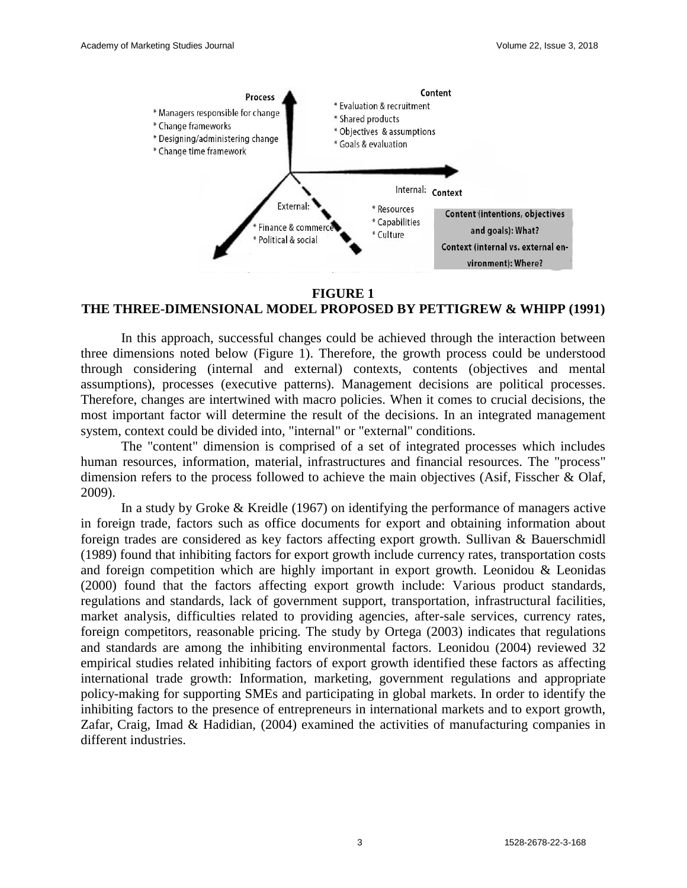

#### **FIGURE 1**

## **THE THREE-DIMENSIONAL MODEL PROPOSED BY PETTIGREW & WHIPP (1991)**

In this approach, successful changes could be achieved through the interaction between three dimensions noted below (Figure 1). Therefore, the growth process could be understood through considering (internal and external) contexts, contents (objectives and mental assumptions), processes (executive patterns). Management decisions are political processes. Therefore, changes are intertwined with macro policies. When it comes to crucial decisions, the most important factor will determine the result of the decisions. In an integrated management system, context could be divided into, "internal" or "external" conditions.

The "content" dimension is comprised of a set of integrated processes which includes human resources, information, material, infrastructures and financial resources. The "process" dimension refers to the process followed to achieve the main objectives (Asif, Fisscher & Olaf, 2009).

In a study by Groke & Kreidle (1967) on identifying the performance of managers active in foreign trade, factors such as office documents for export and obtaining information about foreign trades are considered as key factors affecting export growth. Sullivan & Bauerschmidl (1989) found that inhibiting factors for export growth include currency rates, transportation costs and foreign competition which are highly important in export growth. Leonidou & Leonidas (2000) found that the factors affecting export growth include: Various product standards, regulations and standards, lack of government support, transportation, infrastructural facilities, market analysis, difficulties related to providing agencies, after-sale services, currency rates, foreign competitors, reasonable pricing. The study by Ortega (2003) indicates that regulations and standards are among the inhibiting environmental factors. Leonidou (2004) reviewed 32 empirical studies related inhibiting factors of export growth identified these factors as affecting international trade growth: Information, marketing, government regulations and appropriate policy-making for supporting SMEs and participating in global markets. In order to identify the inhibiting factors to the presence of entrepreneurs in international markets and to export growth, Zafar, Craig, Imad & Hadidian, (2004) examined the activities of manufacturing companies in different industries.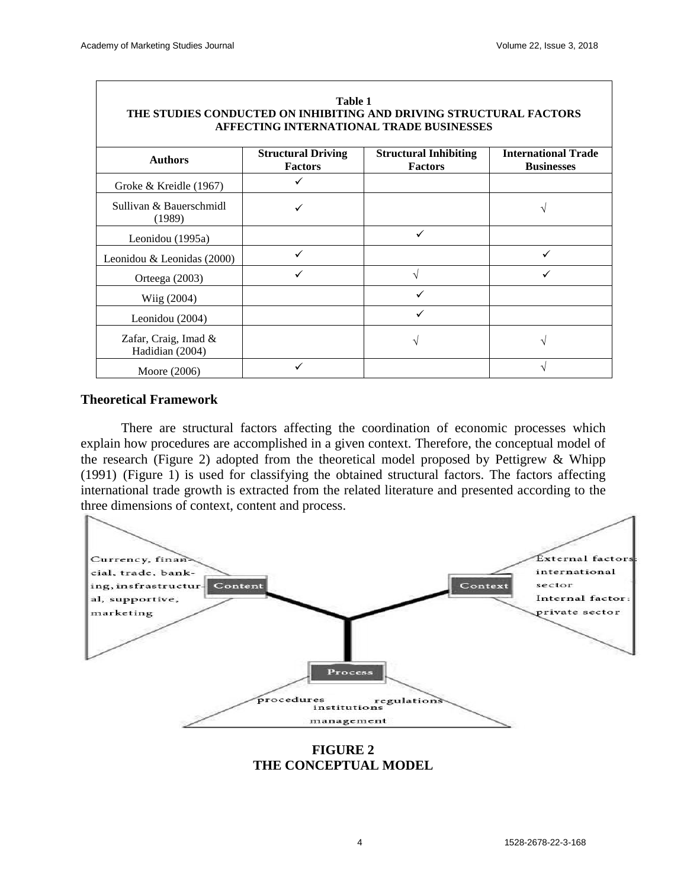| Table 1<br>THE STUDIES CONDUCTED ON INHIBITING AND DRIVING STRUCTURAL FACTORS<br>AFFECTING INTERNATIONAL TRADE BUSINESSES |                                             |                                                |                                                 |  |  |  |  |  |  |  |  |
|---------------------------------------------------------------------------------------------------------------------------|---------------------------------------------|------------------------------------------------|-------------------------------------------------|--|--|--|--|--|--|--|--|
| <b>Authors</b>                                                                                                            | <b>Structural Driving</b><br><b>Factors</b> | <b>Structural Inhibiting</b><br><b>Factors</b> | <b>International Trade</b><br><b>Businesses</b> |  |  |  |  |  |  |  |  |
| Groke & Kreidle (1967)                                                                                                    |                                             |                                                |                                                 |  |  |  |  |  |  |  |  |
| Sullivan & Bauerschmidl<br>(1989)                                                                                         |                                             |                                                |                                                 |  |  |  |  |  |  |  |  |
| Leonidou (1995a)                                                                                                          |                                             |                                                |                                                 |  |  |  |  |  |  |  |  |
| Leonidou & Leonidas $(2000)$                                                                                              |                                             |                                                |                                                 |  |  |  |  |  |  |  |  |
| Orteega $(2003)$                                                                                                          |                                             |                                                |                                                 |  |  |  |  |  |  |  |  |
| Wiig (2004)                                                                                                               |                                             | ✓                                              |                                                 |  |  |  |  |  |  |  |  |
| Leonidou (2004)                                                                                                           |                                             |                                                |                                                 |  |  |  |  |  |  |  |  |
| Zafar, Craig, Imad &<br>Hadidian (2004)                                                                                   |                                             | V                                              | $\mathcal{L}$                                   |  |  |  |  |  |  |  |  |
| Moore (2006)                                                                                                              |                                             |                                                |                                                 |  |  |  |  |  |  |  |  |

#### **Theoretical Framework**

There are structural factors affecting the coordination of economic processes which explain how procedures are accomplished in a given context. Therefore, the conceptual model of the research (Figure 2) adopted from the theoretical model proposed by Pettigrew & Whipp (1991) (Figure 1) is used for classifying the obtained structural factors. The factors affecting international trade growth is extracted from the related literature and presented according to the three dimensions of context, content and process.



**FIGURE 2 THE CONCEPTUAL MODEL**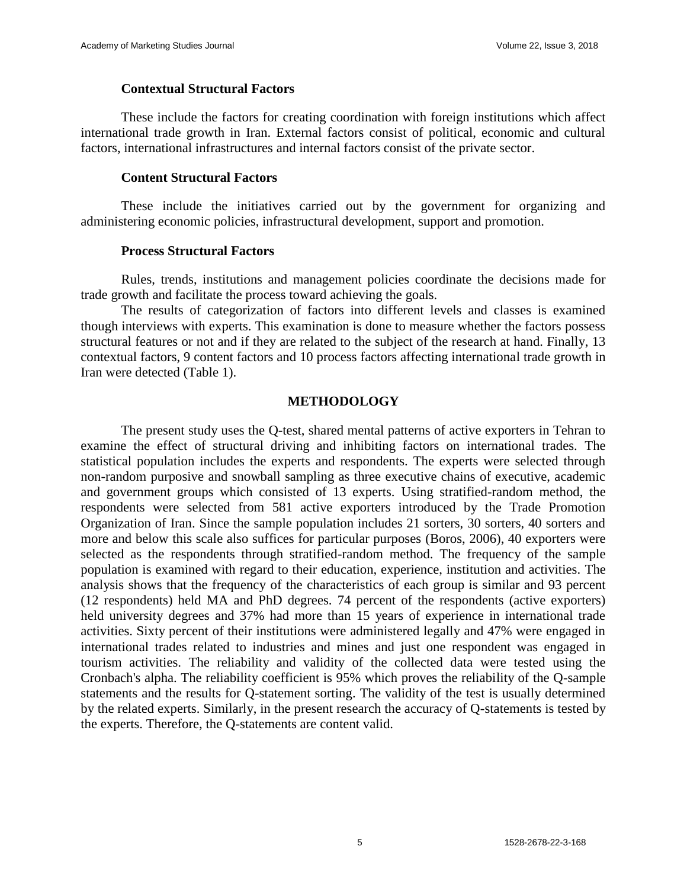#### **Contextual Structural Factors**

These include the factors for creating coordination with foreign institutions which affect international trade growth in Iran. External factors consist of political, economic and cultural factors, international infrastructures and internal factors consist of the private sector.

#### **Content Structural Factors**

These include the initiatives carried out by the government for organizing and administering economic policies, infrastructural development, support and promotion.

#### **Process Structural Factors**

Rules, trends, institutions and management policies coordinate the decisions made for trade growth and facilitate the process toward achieving the goals.

The results of categorization of factors into different levels and classes is examined though interviews with experts. This examination is done to measure whether the factors possess structural features or not and if they are related to the subject of the research at hand. Finally, 13 contextual factors, 9 content factors and 10 process factors affecting international trade growth in Iran were detected (Table 1).

#### **METHODOLOGY**

The present study uses the Q-test, shared mental patterns of active exporters in Tehran to examine the effect of structural driving and inhibiting factors on international trades. The statistical population includes the experts and respondents. The experts were selected through non-random purposive and snowball sampling as three executive chains of executive, academic and government groups which consisted of 13 experts. Using stratified-random method, the respondents were selected from 581 active exporters introduced by the Trade Promotion Organization of Iran. Since the sample population includes 21 sorters, 30 sorters, 40 sorters and more and below this scale also suffices for particular purposes (Boros, 2006), 40 exporters were selected as the respondents through stratified-random method. The frequency of the sample population is examined with regard to their education, experience, institution and activities. The analysis shows that the frequency of the characteristics of each group is similar and 93 percent (12 respondents) held MA and PhD degrees. 74 percent of the respondents (active exporters) held university degrees and 37% had more than 15 years of experience in international trade activities. Sixty percent of their institutions were administered legally and 47% were engaged in international trades related to industries and mines and just one respondent was engaged in tourism activities. The reliability and validity of the collected data were tested using the Cronbach's alpha. The reliability coefficient is 95% which proves the reliability of the Q-sample statements and the results for Q-statement sorting. The validity of the test is usually determined by the related experts. Similarly, in the present research the accuracy of Q-statements is tested by the experts. Therefore, the Q-statements are content valid.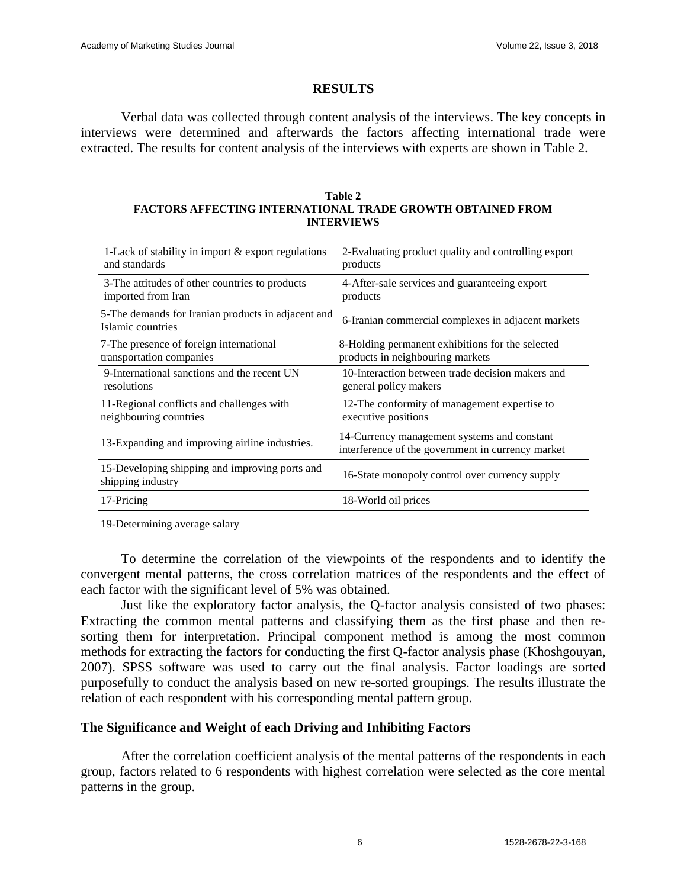## **RESULTS**

Verbal data was collected through content analysis of the interviews. The key concepts in interviews were determined and afterwards the factors affecting international trade were extracted. The results for content analysis of the interviews with experts are shown in Table 2.

| Table 2<br><b>FACTORS AFFECTING INTERNATIONAL TRADE GROWTH OBTAINED FROM</b><br><b>INTERVIEWS</b> |                                                                                                  |  |  |  |  |  |  |  |  |  |  |
|---------------------------------------------------------------------------------------------------|--------------------------------------------------------------------------------------------------|--|--|--|--|--|--|--|--|--|--|
| 1-Lack of stability in import & export regulations<br>and standards                               | 2-Evaluating product quality and controlling export<br>products                                  |  |  |  |  |  |  |  |  |  |  |
| 3-The attitudes of other countries to products<br>imported from Iran                              | 4-After-sale services and guaranteeing export<br>products                                        |  |  |  |  |  |  |  |  |  |  |
| 5-The demands for Iranian products in adjacent and<br>Islamic countries                           | 6-Iranian commercial complexes in adjacent markets                                               |  |  |  |  |  |  |  |  |  |  |
| 7-The presence of foreign international<br>transportation companies                               | 8-Holding permanent exhibitions for the selected<br>products in neighbouring markets             |  |  |  |  |  |  |  |  |  |  |
| 9-International sanctions and the recent UN<br>resolutions                                        | 10-Interaction between trade decision makers and<br>general policy makers                        |  |  |  |  |  |  |  |  |  |  |
| 11-Regional conflicts and challenges with<br>neighbouring countries                               | 12-The conformity of management expertise to<br>executive positions                              |  |  |  |  |  |  |  |  |  |  |
| 13-Expanding and improving airline industries.                                                    | 14-Currency management systems and constant<br>interference of the government in currency market |  |  |  |  |  |  |  |  |  |  |
| 15-Developing shipping and improving ports and<br>shipping industry                               | 16-State monopoly control over currency supply                                                   |  |  |  |  |  |  |  |  |  |  |
| 17-Pricing                                                                                        | 18-World oil prices                                                                              |  |  |  |  |  |  |  |  |  |  |
| 19-Determining average salary                                                                     |                                                                                                  |  |  |  |  |  |  |  |  |  |  |

To determine the correlation of the viewpoints of the respondents and to identify the convergent mental patterns, the cross correlation matrices of the respondents and the effect of

each factor with the significant level of 5% was obtained. Just like the exploratory factor analysis, the Q-factor analysis consisted of two phases: Extracting the common mental patterns and classifying them as the first phase and then resorting them for interpretation. Principal component method is among the most common methods for extracting the factors for conducting the first Q-factor analysis phase (Khoshgouyan, 2007). SPSS software was used to carry out the final analysis. Factor loadings are sorted purposefully to conduct the analysis based on new re-sorted groupings. The results illustrate the relation of each respondent with his corresponding mental pattern group.

## **The Significance and Weight of each Driving and Inhibiting Factors**

After the correlation coefficient analysis of the mental patterns of the respondents in each group, factors related to 6 respondents with highest correlation were selected as the core mental patterns in the group.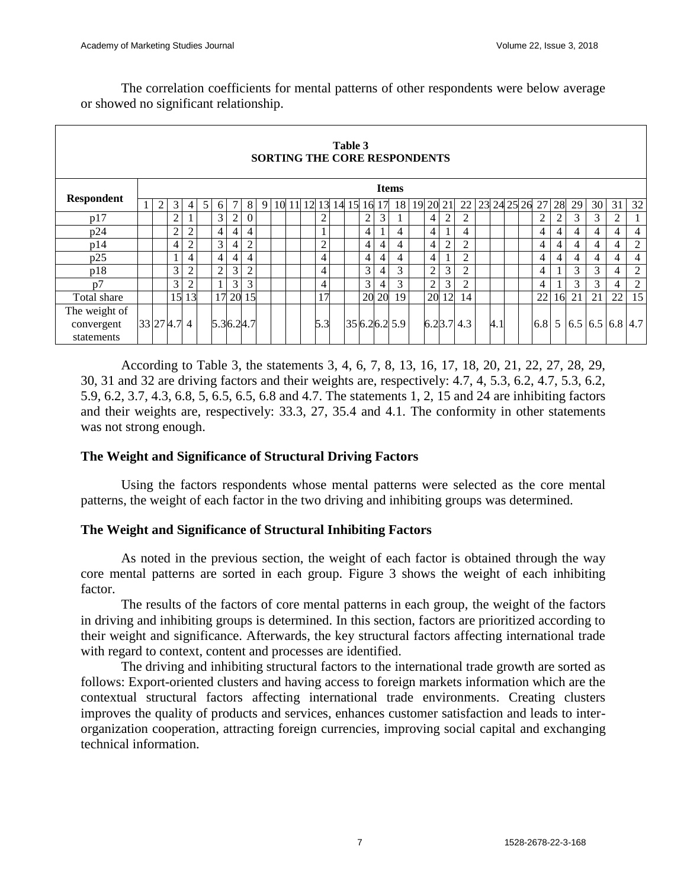The correlation coefficients for mental patterns of other respondents were below average or showed no significant relationship.

| Table 3<br>SORTING THE CORE RESPONDENTS |              |                |                |                |   |                |                |                |   |    |    |    |                |    |    |                |                |                 |          |                |                |              |    |     |          |                |    |    |                |                           |                |
|-----------------------------------------|--------------|----------------|----------------|----------------|---|----------------|----------------|----------------|---|----|----|----|----------------|----|----|----------------|----------------|-----------------|----------|----------------|----------------|--------------|----|-----|----------|----------------|----|----|----------------|---------------------------|----------------|
|                                         | <b>Items</b> |                |                |                |   |                |                |                |   |    |    |    |                |    |    |                |                |                 |          |                |                |              |    |     |          |                |    |    |                |                           |                |
| <b>Respondent</b>                       |              | $\overline{2}$ | 3              | 4              | 5 | 6              |                | 8              | 9 | 10 | 11 | 12 | 13             | 14 | 15 | 16             | 17             | 18              | 19 20 21 |                |                | 22           | 23 |     | 24 25 26 | 27             | 28 | 29 | 30             | 31                        | 32             |
| p17                                     |              |                | 2              |                |   | 3              | $\overline{c}$ | $\overline{0}$ |   |    |    |    | $\overline{c}$ |    |    | $\overline{c}$ | 3              |                 |          | 4              | 2              | 2            |    |     |          | $\overline{c}$ | 2  | 3  | 3              | $\overline{2}$            |                |
| p24                                     |              |                | $\overline{2}$ | $\overline{2}$ |   | $\overline{4}$ | $\overline{4}$ | $\overline{4}$ |   |    |    |    |                |    |    | 4              |                | 4               |          | $\overline{4}$ |                | 4            |    |     |          | $\overline{4}$ | 4  | 4  | $\overline{4}$ | $\overline{4}$            | $\overline{4}$ |
| p14                                     |              |                | $\overline{4}$ | $\overline{2}$ |   | 3              | 4              | $\mathfrak{2}$ |   |    |    |    | $\overline{2}$ |    |    | 4              | $\overline{4}$ | 4               |          | 4              | $\overline{c}$ | 2            |    |     |          | $\overline{4}$ | 4  | 4  | $\overline{4}$ | 4                         | $\overline{2}$ |
| p25                                     |              |                | 1              | 4              |   | 4              | 4              | $\overline{4}$ |   |    |    |    | 4              |    |    | 4              | 4              | 4               |          | 4              |                | 2            |    |     |          | 4              | 4  | 4  | $\overline{4}$ | 4                         | $\overline{4}$ |
| p18                                     |              |                | 3              | $\overline{2}$ |   | 2              | 3              | $\overline{2}$ |   |    |    |    | 4              |    |    | 3              | $\overline{4}$ | 3               |          | $\overline{2}$ | 3              | 2            |    |     |          | $\overline{4}$ |    | 3  | 3              | 4                         | $\overline{2}$ |
| p7                                      |              |                | 3              | $\overline{c}$ |   |                | 3              | 3              |   |    |    |    | 4              |    |    | 3              | $\overline{4}$ | 3               |          | $\overline{c}$ | 3              | 2            |    |     |          | 4              |    | 3  | 3              | $\overline{4}$            | $\overline{2}$ |
| Total share                             |              |                | 15             | 13             |   |                | 17 20          | 15             |   |    |    |    | 17             |    |    |                | 20 20          | 19 <sub>1</sub> |          | 20             | 12             | 14           |    |     |          | 22             | 16 | 21 | 21             | 22                        | 15             |
| The weight of                           |              |                |                |                |   |                |                |                |   |    |    |    |                |    |    |                |                |                 |          |                |                |              |    |     |          |                |    |    |                |                           |                |
| convergent                              |              |                | 33 27 4.7 4    |                |   | 5.36.24.7      |                |                |   |    |    |    | 5.3            |    |    |                |                | 35 6.2 6.2 5.9  |          |                |                | $6.23.7$ 4.3 |    | 4.1 |          | 6.8            |    |    |                | 5   6.5   6.5   6.8   4.7 |                |
| statements                              |              |                |                |                |   |                |                |                |   |    |    |    |                |    |    |                |                |                 |          |                |                |              |    |     |          |                |    |    |                |                           |                |

According to Table 3, the statements 3, 4, 6, 7, 8, 13, 16, 17, 18, 20, 21, 22, 27, 28, 29, 30, 31 and 32 are driving factors and their weights are, respectively: 4.7, 4, 5.3, 6.2, 4.7, 5.3, 6.2, 5.9, 6.2, 3.7, 4.3, 6.8, 5, 6.5, 6.5, 6.8 and 4.7. The statements 1, 2, 15 and 24 are inhibiting factors and their weights are, respectively: 33.3, 27, 35.4 and 4.1. The conformity in other statements was not strong enough.

## **The Weight and Significance of Structural Driving Factors**

Using the factors respondents whose mental patterns were selected as the core mental patterns, the weight of each factor in the two driving and inhibiting groups was determined.

## **The Weight and Significance of Structural Inhibiting Factors**

As noted in the previous section, the weight of each factor is obtained through the way core mental patterns are sorted in each group. Figure 3 shows the weight of each inhibiting factor.

The results of the factors of core mental patterns in each group, the weight of the factors in driving and inhibiting groups is determined. In this section, factors are prioritized according to their weight and significance. Afterwards, the key structural factors affecting international trade with regard to context, content and processes are identified.

The driving and inhibiting structural factors to the international trade growth are sorted as follows: Export-oriented clusters and having access to foreign markets information which are the contextual structural factors affecting international trade environments. Creating clusters improves the quality of products and services, enhances customer satisfaction and leads to interorganization cooperation, attracting foreign currencies, improving social capital and exchanging technical information.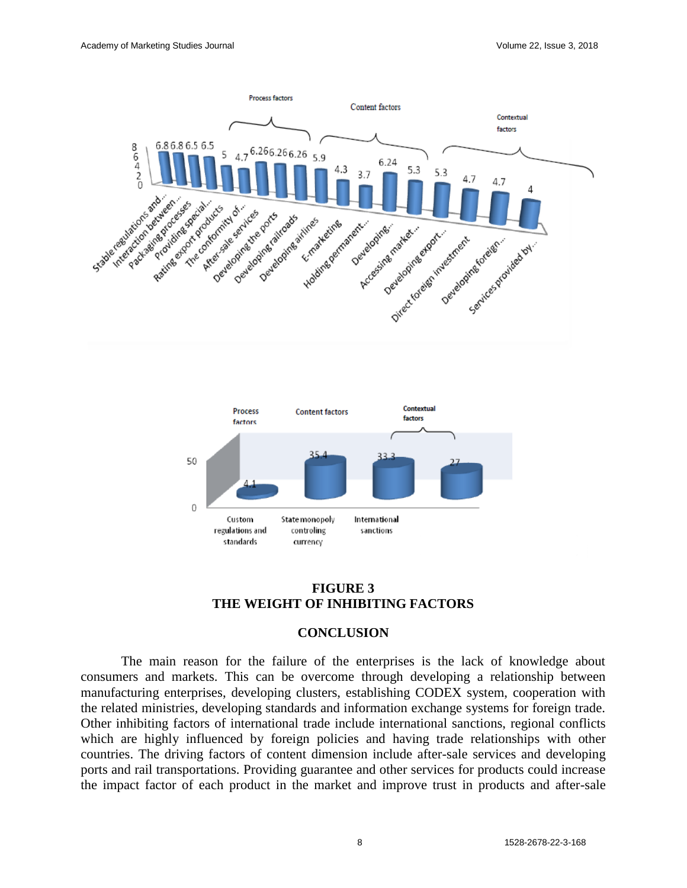



## **FIGURE 3 THE WEIGHT OF INHIBITING FACTORS**

#### **CONCLUSION**

The main reason for the failure of the enterprises is the lack of knowledge about consumers and markets. This can be overcome through developing a relationship between manufacturing enterprises, developing clusters, establishing CODEX system, cooperation with the related ministries, developing standards and information exchange systems for foreign trade. Other inhibiting factors of international trade include international sanctions, regional conflicts which are highly influenced by foreign policies and having trade relationships with other countries. The driving factors of content dimension include after-sale services and developing ports and rail transportations. Providing guarantee and other services for products could increase the impact factor of each product in the market and improve trust in products and after-sale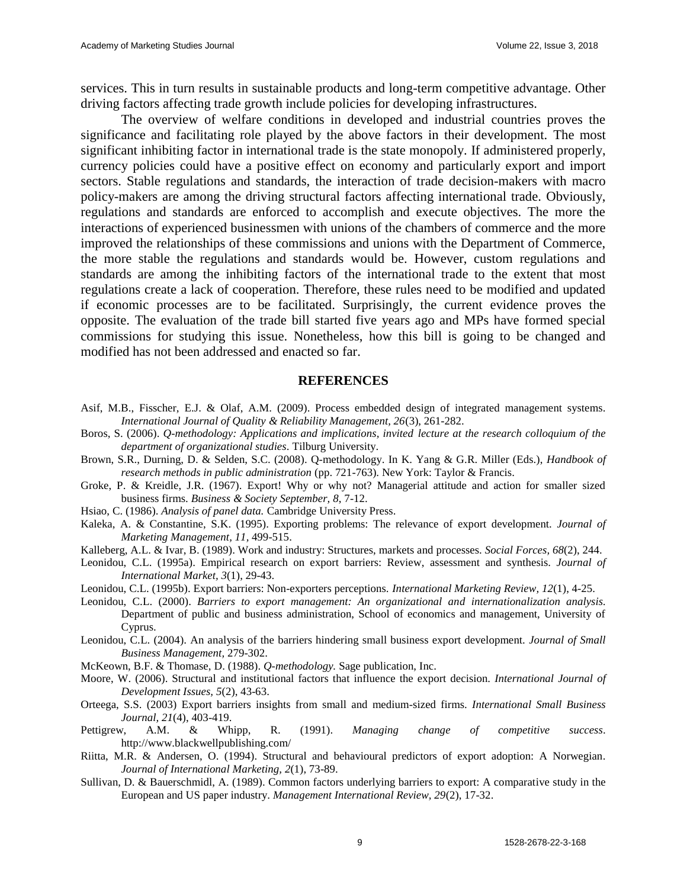services. This in turn results in sustainable products and long-term competitive advantage. Other driving factors affecting trade growth include policies for developing infrastructures.

The overview of welfare conditions in developed and industrial countries proves the significance and facilitating role played by the above factors in their development. The most significant inhibiting factor in international trade is the state monopoly. If administered properly, currency policies could have a positive effect on economy and particularly export and import sectors. Stable regulations and standards, the interaction of trade decision-makers with macro policy-makers are among the driving structural factors affecting international trade. Obviously, regulations and standards are enforced to accomplish and execute objectives. The more the interactions of experienced businessmen with unions of the chambers of commerce and the more improved the relationships of these commissions and unions with the Department of Commerce, the more stable the regulations and standards would be. However, custom regulations and standards are among the inhibiting factors of the international trade to the extent that most regulations create a lack of cooperation. Therefore, these rules need to be modified and updated if economic processes are to be facilitated. Surprisingly, the current evidence proves the opposite. The evaluation of the trade bill started five years ago and MPs have formed special commissions for studying this issue. Nonetheless, how this bill is going to be changed and modified has not been addressed and enacted so far.

#### **REFERENCES**

- Asif, M.B., Fisscher, E.J. & Olaf, A.M. (2009). Process embedded design of integrated management systems. *International Journal of Quality & Reliability Management, 26*(3), 261-282.
- Boros, S. (2006). *Q-methodology: Applications and implications, invited lecture at the research colloquium of the department of organizational studies*. Tilburg University.
- Brown, S.R., Durning, D. & Selden, S.C. (2008). Q-methodology. In K. Yang & G.R. Miller (Eds.), *Handbook of research methods in public administration* (pp. 721-763). New York: Taylor & Francis.
- Groke, P. & Kreidle, J.R. (1967). Export! Why or why not? Managerial attitude and action for smaller sized business firms. *Business & Society September, 8*, 7-12.
- Hsiao, C. (1986). *Analysis of panel data.* Cambridge University Press.
- Kaleka, A. & Constantine, S.K. (1995). Exporting problems: The relevance of export development. *Journal of Marketing Management, 11,* 499-515.
- Kalleberg, A.L. & Ivar, B. (1989). Work and industry: Structures, markets and processes. *Social Forces, 68*(2), 244.
- Leonidou, C.L. (1995a). Empirical research on export barriers: Review, assessment and synthesis. *Journal of International Market, 3*(1), 29-43.
- Leonidou, C.L. (1995b). Export barriers: Non-exporters perceptions. *International Marketing Review, 12*(1), 4-25.
- Leonidou, C.L. (2000). *Barriers to export management: An organizational and internationalization analysis.* Department of public and business administration, School of economics and management, University of Cyprus.
- Leonidou, C.L. (2004). An analysis of the barriers hindering small business export development. *Journal of Small Business Management,* 279-302.
- McKeown, B.F. & Thomase, D. (1988). *Q-methodology.* Sage publication, Inc.
- Moore, W. (2006). Structural and institutional factors that influence the export decision. *International Journal of Development Issues, 5*(2), 43-63.
- Orteega, S.S. (2003) Export barriers insights from small and medium-sized firms. *International Small Business Journal, 21*(4), 403-419.
- Pettigrew, A.M. & Whipp, R. (1991). *Managing change of competitive success*. <http://www.blackwellpublishing.com/>
- Riitta, M.R. & Andersen, O. (1994). Structural and behavioural predictors of export adoption: A Norwegian. *Journal of International Marketing, 2*(1), 73-89.
- Sullivan, D. & Bauerschmidl, A. (1989). Common factors underlying barriers to export: A comparative study in the European and US paper industry. *Management International Review, 29*(2), 17-32.